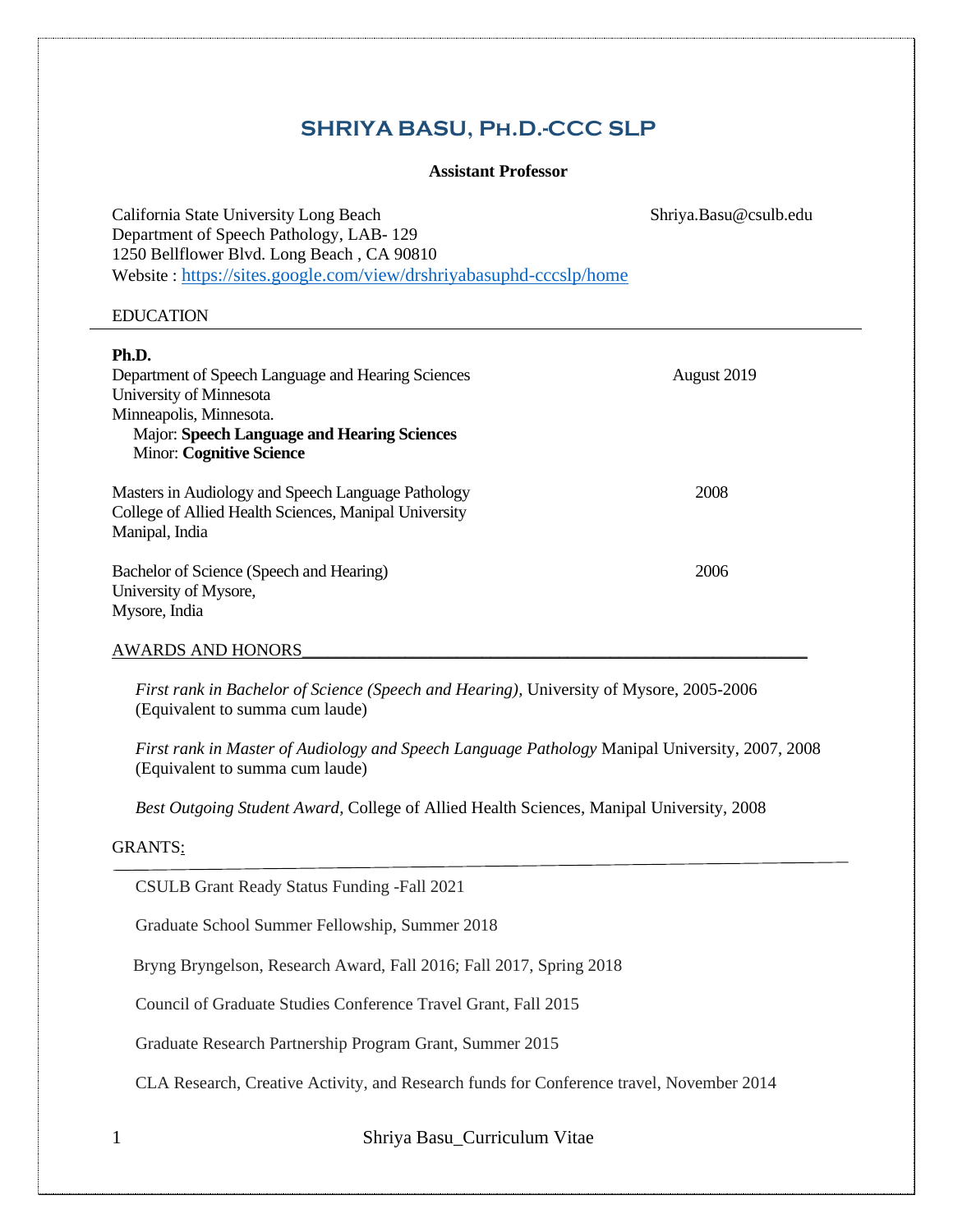# **SHRIYA BASU, Ph.D.-CCC SLP**

# **Assistant Professor**

California State University Long Beach Shriya.Basu@csulb.edu Department of Speech Pathology, LAB- 129 1250 Bellflower Blvd. Long Beach , CA 90810 Website : <https://sites.google.com/view/drshriyabasuphd-cccslp/home>

#### EDUCATION

| Ph.D.<br>Department of Speech Language and Hearing Sciences<br>University of Minnesota<br>Minneapolis, Minnesota.<br><b>Major: Speech Language and Hearing Sciences</b><br><b>Minor: Cognitive Science</b> | August 2019 |
|------------------------------------------------------------------------------------------------------------------------------------------------------------------------------------------------------------|-------------|
| Masters in Audiology and Speech Language Pathology<br>College of Allied Health Sciences, Manipal University<br>Manipal, India                                                                              | 2008        |
| Bachelor of Science (Speech and Hearing)<br>University of Mysore,<br>Mysore, India                                                                                                                         | 2006        |
| <b>AWARDS AND HONORS</b>                                                                                                                                                                                   |             |

*First rank in Bachelor of Science (Speech and Hearing),* University of Mysore, 2005-2006 (Equivalent to summa cum laude)

*First rank in Master of Audiology and Speech Language Pathology* Manipal University, 2007, 2008 (Equivalent to summa cum laude)

*Best Outgoing Student Award*, College of Allied Health Sciences, Manipal University, 2008

# GRANTS:

CSULB Grant Ready Status Funding -Fall 2021

Graduate School Summer Fellowship, Summer 2018

Bryng Bryngelson, Research Award, Fall 2016; Fall 2017, Spring 2018

Council of Graduate Studies Conference Travel Grant, Fall 2015

Graduate Research Partnership Program Grant, Summer 2015

CLA Research, Creative Activity, and Research funds for Conference travel, November 2014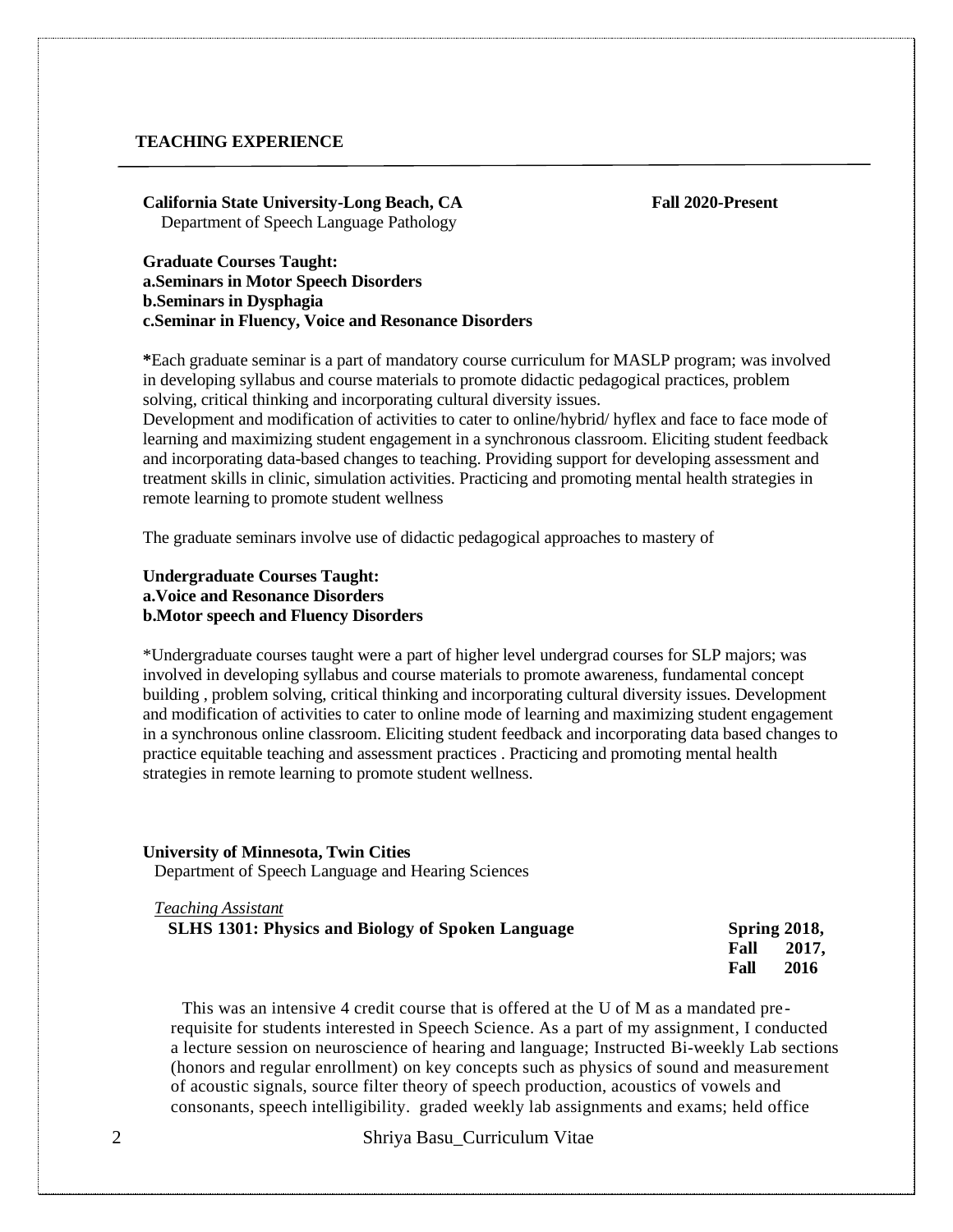## **TEACHING EXPERIENCE**

**California State University-Long Beach, CA Fall 2020-Present** Department of Speech Language Pathology

**Graduate Courses Taught: a.Seminars in Motor Speech Disorders b.Seminars in Dysphagia c.Seminar in Fluency, Voice and Resonance Disorders**

**\***Each graduate seminar is a part of mandatory course curriculum for MASLP program; was involved in developing syllabus and course materials to promote didactic pedagogical practices, problem solving, critical thinking and incorporating cultural diversity issues.

Development and modification of activities to cater to online/hybrid/ hyflex and face to face mode of learning and maximizing student engagement in a synchronous classroom. Eliciting student feedback and incorporating data-based changes to teaching. Providing support for developing assessment and treatment skills in clinic, simulation activities. Practicing and promoting mental health strategies in remote learning to promote student wellness

The graduate seminars involve use of didactic pedagogical approaches to mastery of

# **Undergraduate Courses Taught: a.Voice and Resonance Disorders b.Motor speech and Fluency Disorders**

\*Undergraduate courses taught were a part of higher level undergrad courses for SLP majors; was involved in developing syllabus and course materials to promote awareness, fundamental concept building , problem solving, critical thinking and incorporating cultural diversity issues. Development and modification of activities to cater to online mode of learning and maximizing student engagement in a synchronous online classroom. Eliciting student feedback and incorporating data based changes to practice equitable teaching and assessment practices . Practicing and promoting mental health strategies in remote learning to promote student wellness.

#### **University of Minnesota, Twin Cities**

*Teaching Assistant*

Department of Speech Language and Hearing Sciences

| <b>SLHS 1301: Physics and Biology of Spoken Language</b> | <b>Spring 2018,</b> |
|----------------------------------------------------------|---------------------|
|                                                          | 2017,<br>Fall       |
|                                                          | 2016<br>Fall        |

This was an intensive 4 credit course that is offered at the U of M as a mandated pre requisite for students interested in Speech Science. As a part of my assignment, I conducted a lecture session on neuroscience of hearing and language; Instructed Bi-weekly Lab sections (honors and regular enrollment) on key concepts such as physics of sound and measurement of acoustic signals, source filter theory of speech production, acoustics of vowels and consonants, speech intelligibility. graded weekly lab assignments and exams; held office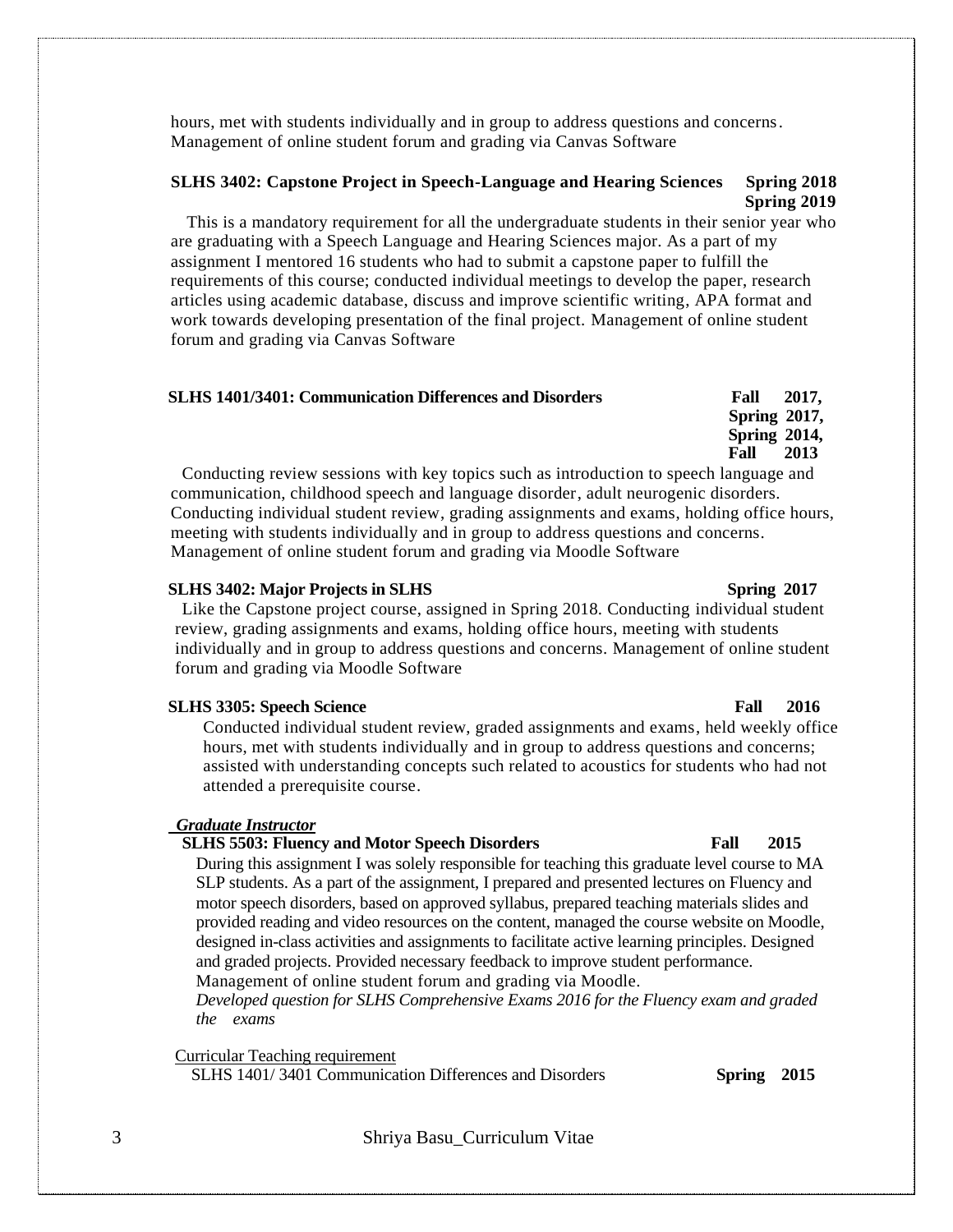hours, met with students individually and in group to address questions and concerns. Management of online student forum and grading via Canvas Software

# **SLHS 3402: Capstone Project in Speech-Language and Hearing Sciences Spring 2018 Spring 2019**

This is a mandatory requirement for all the undergraduate students in their senior year who are graduating with a Speech Language and Hearing Sciences major. As a part of my assignment I mentored 16 students who had to submit a capstone paper to fulfill the requirements of this course; conducted individual meetings to develop the paper, research articles using academic database, discuss and improve scientific writing, APA format and work towards developing presentation of the final project. Management of online student forum and grading via Canvas Software

#### **SLHS 1401/3401: Communication Differences and Disorders Fall 2017,**

**Fall 2013** Conducting review sessions with key topics such as introduction to speech language and communication, childhood speech and language disorder, adult neurogenic disorders. Conducting individual student review, grading assignments and exams, holding office hours, meeting with students individually and in group to address questions and concerns. Management of online student forum and grading via Moodle Software

#### **SLHS 3402: Major Projects in SLHS Spring 2017**

Like the Capstone project course, assigned in Spring 2018. Conducting individual student review, grading assignments and exams, holding office hours, meeting with students individually and in group to address questions and concerns. Management of online student forum and grading via Moodle Software

#### **SLHS 3305: Speech Science** Fall 2016

Conducted individual student review, graded assignments and exams, held weekly office hours, met with students individually and in group to address questions and concerns; assisted with understanding concepts such related to acoustics for students who had not attended a prerequisite course.

#### *Graduate Instructor*

#### **SLHS 5503: Fluency and Motor Speech Disorders Fall 2015**

During this assignment I was solely responsible for teaching this graduate level course to MA SLP students. As a part of the assignment, I prepared and presented lectures on Fluency and motor speech disorders, based on approved syllabus, prepared teaching materials slides and provided reading and video resources on the content, managed the course website on Moodle, designed in-class activities and assignments to facilitate active learning principles. Designed and graded projects. Provided necessary feedback to improve student performance. Management of online student forum and grading via Moodle.

*Developed question for SLHS Comprehensive Exams 2016 for the Fluency exam and graded the exams*

Curricular Teaching requirement

SLHS 1401/ 3401 Communication Differences and Disorders **Spring 2015**

3 Shriya Basu\_Curriculum Vitae

 **Spring 2017, Spring 2014,**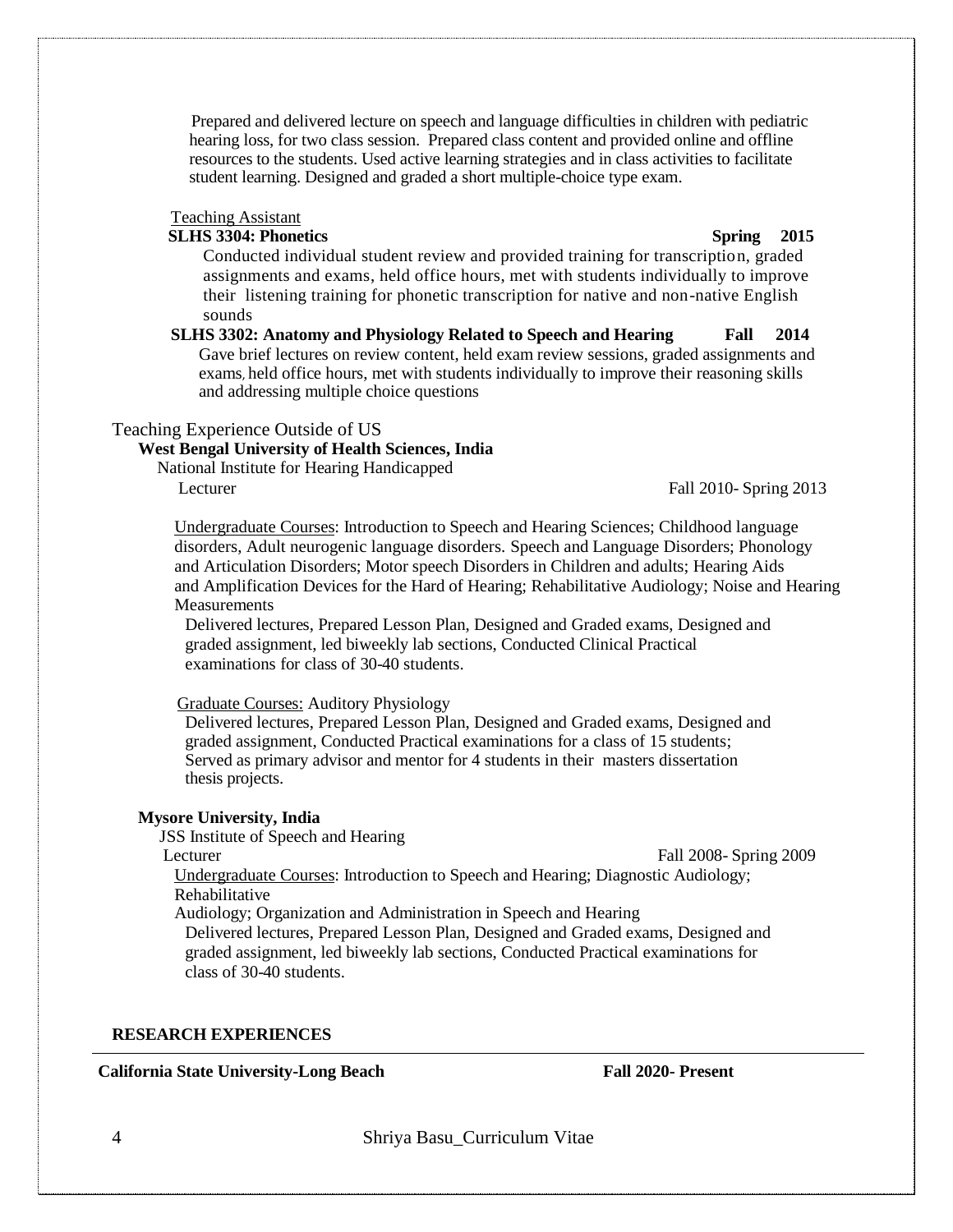Prepared and delivered lecture on speech and language difficulties in children with pediatric hearing loss, for two class session. Prepared class content and provided online and offline resources to the students. Used active learning strategies and in class activities to facilitate student learning. Designed and graded a short multiple-choice type exam.

#### Teaching Assistant

# **SLHS 3304: Phonetics** Spring 2015

Conducted individual student review and provided training for transcription, graded assignments and exams, held office hours, met with students individually to improve their listening training for phonetic transcription for native and non-native English sounds

**SLHS 3302: Anatomy and Physiology Related to Speech and Hearing Fall 2014** Gave brief lectures on review content, held exam review sessions, graded assignments and exams, held office hours, met with students individually to improve their reasoning skills and addressing multiple choice questions

### Teaching Experience Outside of US

# **West Bengal University of Health Sciences, India**

National Institute for Hearing Handicapped

Lecturer Fall 2010- Spring 2013

Undergraduate Courses: Introduction to Speech and Hearing Sciences; Childhood language disorders, Adult neurogenic language disorders. Speech and Language Disorders; Phonology and Articulation Disorders; Motor speech Disorders in Children and adults; Hearing Aids and Amplification Devices for the Hard of Hearing; Rehabilitative Audiology; Noise and Hearing **Measurements** 

Delivered lectures, Prepared Lesson Plan, Designed and Graded exams, Designed and graded assignment, led biweekly lab sections, Conducted Clinical Practical examinations for class of 30-40 students.

Graduate Courses: Auditory Physiology

Delivered lectures, Prepared Lesson Plan, Designed and Graded exams, Designed and graded assignment, Conducted Practical examinations for a class of 15 students; Served as primary advisor and mentor for 4 students in their masters dissertation thesis projects.

#### **Mysore University, India**

JSS Institute of Speech and Hearing

Lecturer Fall 2008- Spring 2009

Undergraduate Courses: Introduction to Speech and Hearing; Diagnostic Audiology; Rehabilitative

Audiology; Organization and Administration in Speech and Hearing

Delivered lectures, Prepared Lesson Plan, Designed and Graded exams, Designed and graded assignment, led biweekly lab sections, Conducted Practical examinations for class of 30-40 students.

#### **RESEARCH EXPERIENCES**

#### **California State University-Long Beach Fall 2020- Present**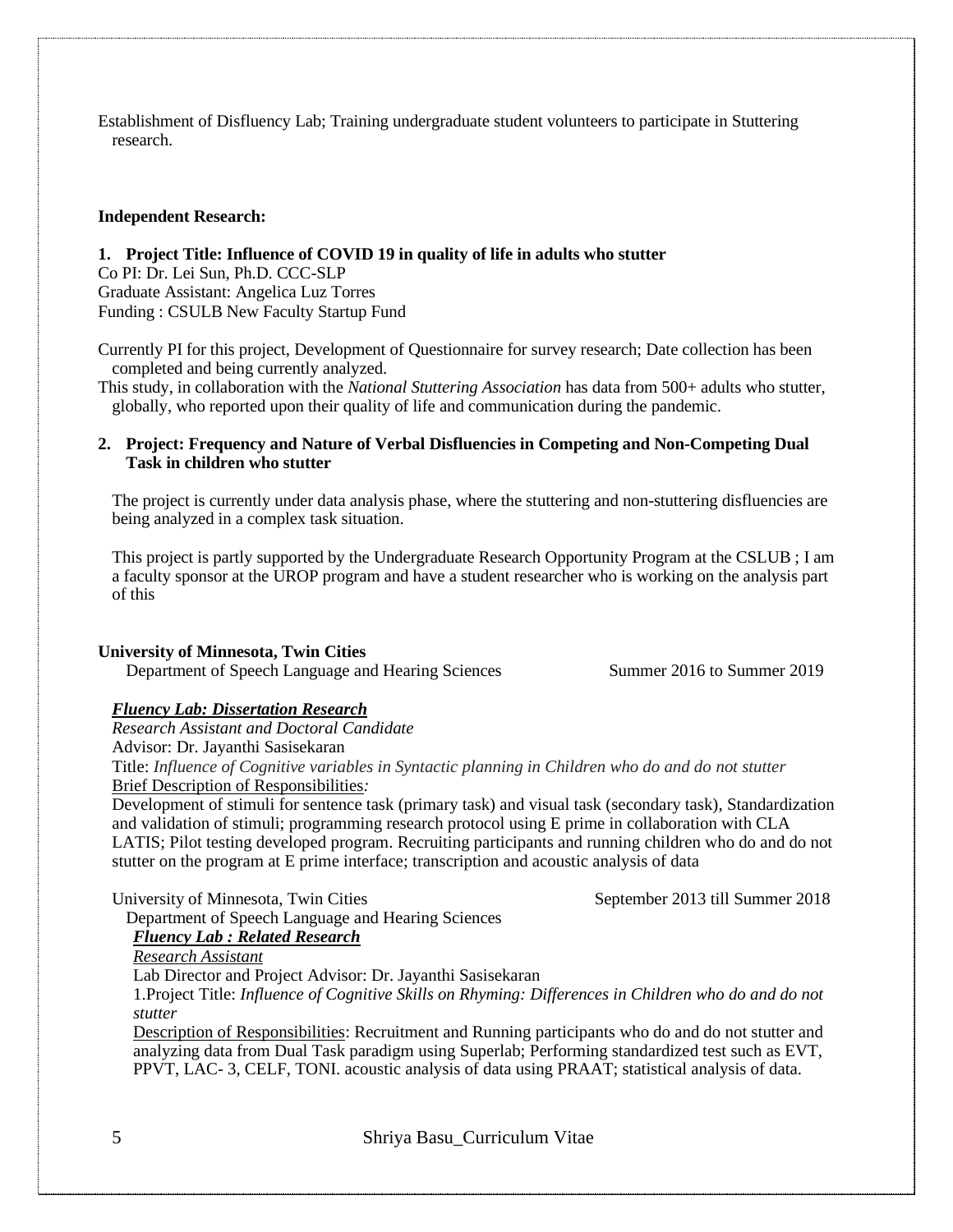Establishment of Disfluency Lab; Training undergraduate student volunteers to participate in Stuttering research.

#### **Independent Research:**

**1. Project Title: Influence of COVID 19 in quality of life in adults who stutter** 

Co PI: Dr. Lei Sun, Ph.D. CCC-SLP Graduate Assistant: Angelica Luz Torres Funding : CSULB New Faculty Startup Fund

Currently PI for this project, Development of Questionnaire for survey research; Date collection has been completed and being currently analyzed.

This study, in collaboration with the *National Stuttering Association* has data from 500+ adults who stutter, globally, who reported upon their quality of life and communication during the pandemic.

## **2. Project: Frequency and Nature of Verbal Disfluencies in Competing and Non-Competing Dual Task in children who stutter**

The project is currently under data analysis phase, where the stuttering and non-stuttering disfluencies are being analyzed in a complex task situation.

This project is partly supported by the Undergraduate Research Opportunity Program at the CSLUB ; I am a faculty sponsor at the UROP program and have a student researcher who is working on the analysis part of this

#### **University of Minnesota, Twin Cities**

Department of Speech Language and Hearing Sciences Summer 2016 to Summer 2019

### *Fluency Lab: Dissertation Research*

*Research Assistant and Doctoral Candidate*

Advisor: Dr. Jayanthi Sasisekaran

Title: *Influence of Cognitive variables in Syntactic planning in Children who do and do not stutter* Brief Description of Responsibilities*:* 

Development of stimuli for sentence task (primary task) and visual task (secondary task), Standardization and validation of stimuli; programming research protocol using E prime in collaboration with CLA LATIS; Pilot testing developed program. Recruiting participants and running children who do and do not stutter on the program at E prime interface; transcription and acoustic analysis of data

University of Minnesota, Twin Cities September 2013 till Summer 2018

# Department of Speech Language and Hearing Sciences

#### *Fluency Lab : Related Research Research Assistant*

Lab Director and Project Advisor: Dr. Jayanthi Sasisekaran

1.Project Title: *Influence of Cognitive Skills on Rhyming: Differences in Children who do and do not stutter*

Description of Responsibilities: Recruitment and Running participants who do and do not stutter and analyzing data from Dual Task paradigm using Superlab; Performing standardized test such as EVT, PPVT, LAC- 3, CELF, TONI. acoustic analysis of data using PRAAT; statistical analysis of data.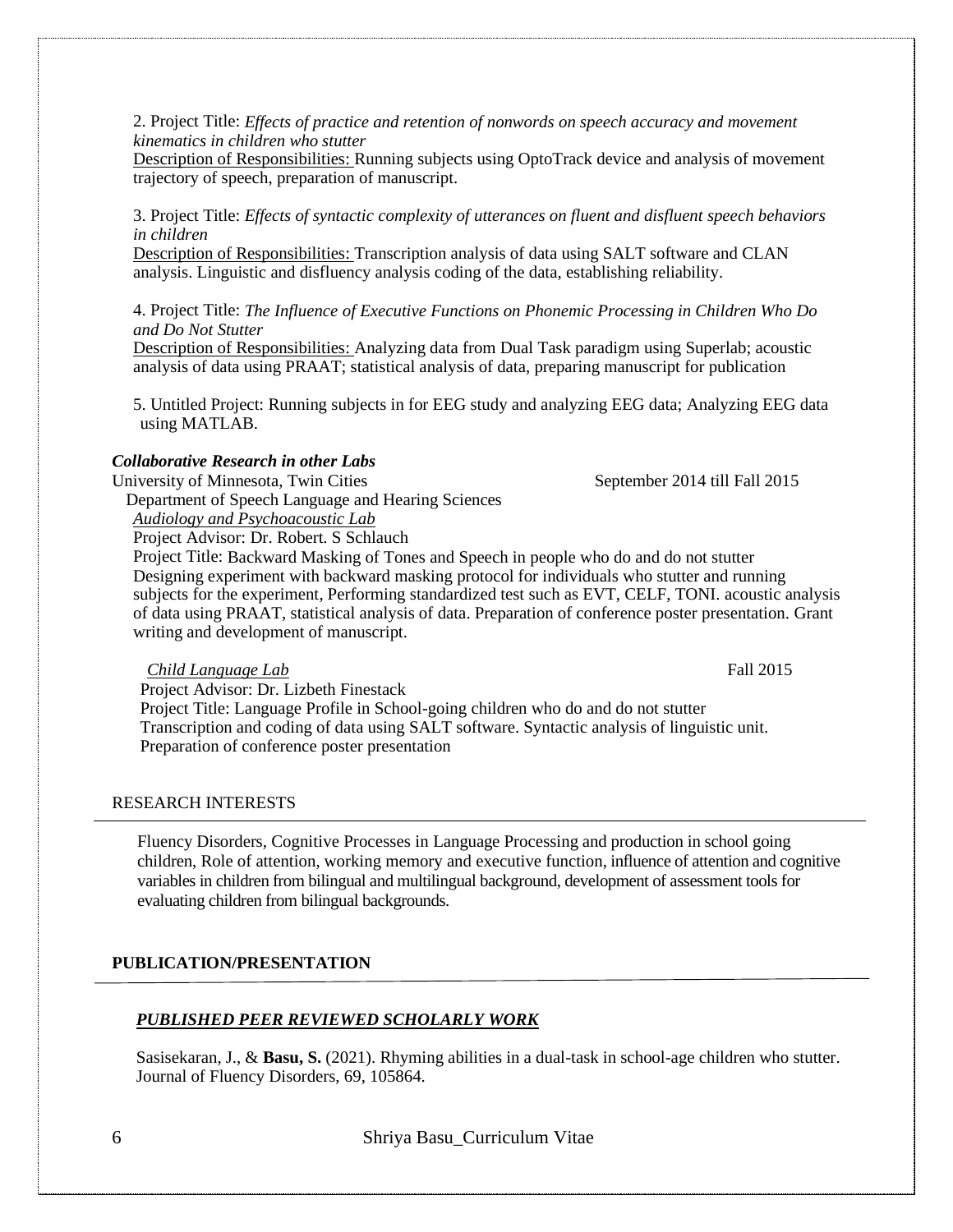2. Project Title: *Effects of practice and retention of nonwords on speech accuracy and movement kinematics in children who stutter*

Description of Responsibilities: Running subjects using OptoTrack device and analysis of movement trajectory of speech, preparation of manuscript.

3. Project Title: *Effects of syntactic complexity of utterances on fluent and disfluent speech behaviors in children*

Description of Responsibilities: Transcription analysis of data using SALT software and CLAN analysis. Linguistic and disfluency analysis coding of the data, establishing reliability.

## 4. Project Title: *The Influence of Executive Functions on Phonemic Processing in Children Who Do and Do Not Stutter*

Description of Responsibilities: Analyzing data from Dual Task paradigm using Superlab; acoustic analysis of data using PRAAT; statistical analysis of data, preparing manuscript for publication

5. Untitled Project: Running subjects in for EEG study and analyzing EEG data; Analyzing EEG data using MATLAB.

# *Collaborative Research in other Labs*

University of Minnesota, Twin Cities September 2014 till Fall 2015

Department of Speech Language and Hearing Sciences

*Audiology and Psychoacoustic Lab*

Project Advisor: Dr. Robert. S Schlauch

Project Title: Backward Masking of Tones and Speech in people who do and do not stutter Designing experiment with backward masking protocol for individuals who stutter and running subjects for the experiment, Performing standardized test such as EVT, CELF, TONI. acoustic analysis of data using PRAAT, statistical analysis of data. Preparation of conference poster presentation. Grant writing and development of manuscript.

*Child Language Lab* Fall 2015

Project Advisor: Dr. Lizbeth Finestack

Project Title: Language Profile in School-going children who do and do not stutter Transcription and coding of data using SALT software. Syntactic analysis of linguistic unit. Preparation of conference poster presentation

#### RESEARCH INTERESTS

Fluency Disorders, Cognitive Processes in Language Processing and production in school going children, Role of attention, working memory and executive function, influence of attention and cognitive variables in children from bilingual and multilingual background, development of assessment tools for evaluating children from bilingual backgrounds.

# **PUBLICATION/PRESENTATION**

# *PUBLISHED PEER REVIEWED SCHOLARLY WORK*

Sasisekaran, J., & **Basu, S.** (2021). Rhyming abilities in a dual-task in school-age children who stutter. Journal of Fluency Disorders, 69, 105864.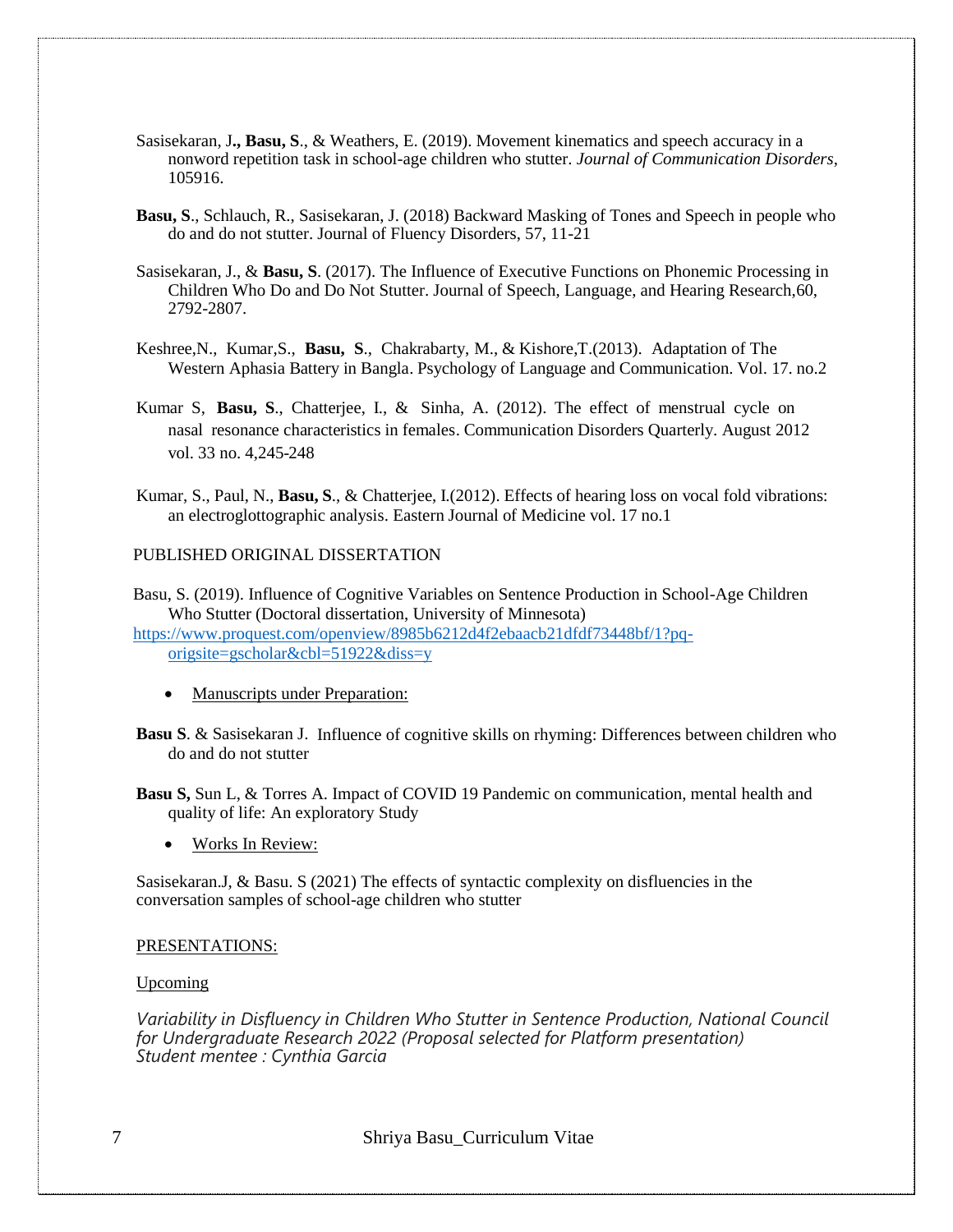- Sasisekaran, J**., Basu, S**., & Weathers, E. (2019). Movement kinematics and speech accuracy in a nonword repetition task in school-age children who stutter. *Journal of Communication Disorders*, 105916.
- **Basu, S**., Schlauch, R., Sasisekaran, J. (2018) Backward Masking of Tones and Speech in people who do and do not stutter. Journal of Fluency Disorders, 57, 11-21
- Sasisekaran, J., & **Basu, S**. (2017). The Influence of Executive Functions on Phonemic Processing in Children Who Do and Do Not Stutter. Journal of Speech, Language, and Hearing Research,60, 2792-2807.
- Keshree,N., Kumar,S., **Basu, S**., Chakrabarty, M., & Kishore,T.(2013). Adaptation of The Western Aphasia Battery in Bangla. Psychology of Language and Communication. Vol. 17. no.2
- Kumar S, **Basu, S**., Chatterjee, I., & Sinha, A. (2012). The effect of menstrual cycle on nasal resonance characteristics in females. Communication Disorders Quarterly. August 2012 vol. 33 no. 4,245-248
- Kumar, S., Paul, N., **Basu, S**., & Chatterjee, I.(2012). Effects of hearing loss on vocal fold vibrations: an electroglottographic analysis. Eastern Journal of Medicine vol. 17 no.1

#### PUBLISHED ORIGINAL DISSERTATION

Basu, S. (2019). Influence of Cognitive Variables on Sentence Production in School-Age Children Who Stutter (Doctoral dissertation, University of Minnesota)

[https://www.proquest.com/openview/8985b6212d4f2ebaacb21dfdf73448bf/1?pq](https://www.proquest.com/openview/8985b6212d4f2ebaacb21dfdf73448bf/1?pq-origsite=gscholar&cbl=51922&diss=y)[origsite=gscholar&cbl=51922&diss=y](https://www.proquest.com/openview/8985b6212d4f2ebaacb21dfdf73448bf/1?pq-origsite=gscholar&cbl=51922&diss=y)

- Manuscripts under Preparation:
- **Basu S**. & Sasisekaran J. Influence of cognitive skills on rhyming: Differences between children who do and do not stutter
- **Basu S,** Sun L, & Torres A. Impact of COVID 19 Pandemic on communication, mental health and quality of life: An exploratory Study
	- Works In Review:

Sasisekaran.J, & Basu. S (2021) The effects of syntactic complexity on disfluencies in the conversation samples of school-age children who stutter

# PRESENTATIONS:

#### Upcoming

*Variability in Disfluency in Children Who Stutter in Sentence Production, National Council for Undergraduate Research 2022 (Proposal selected for Platform presentation) Student mentee : Cynthia Garcia*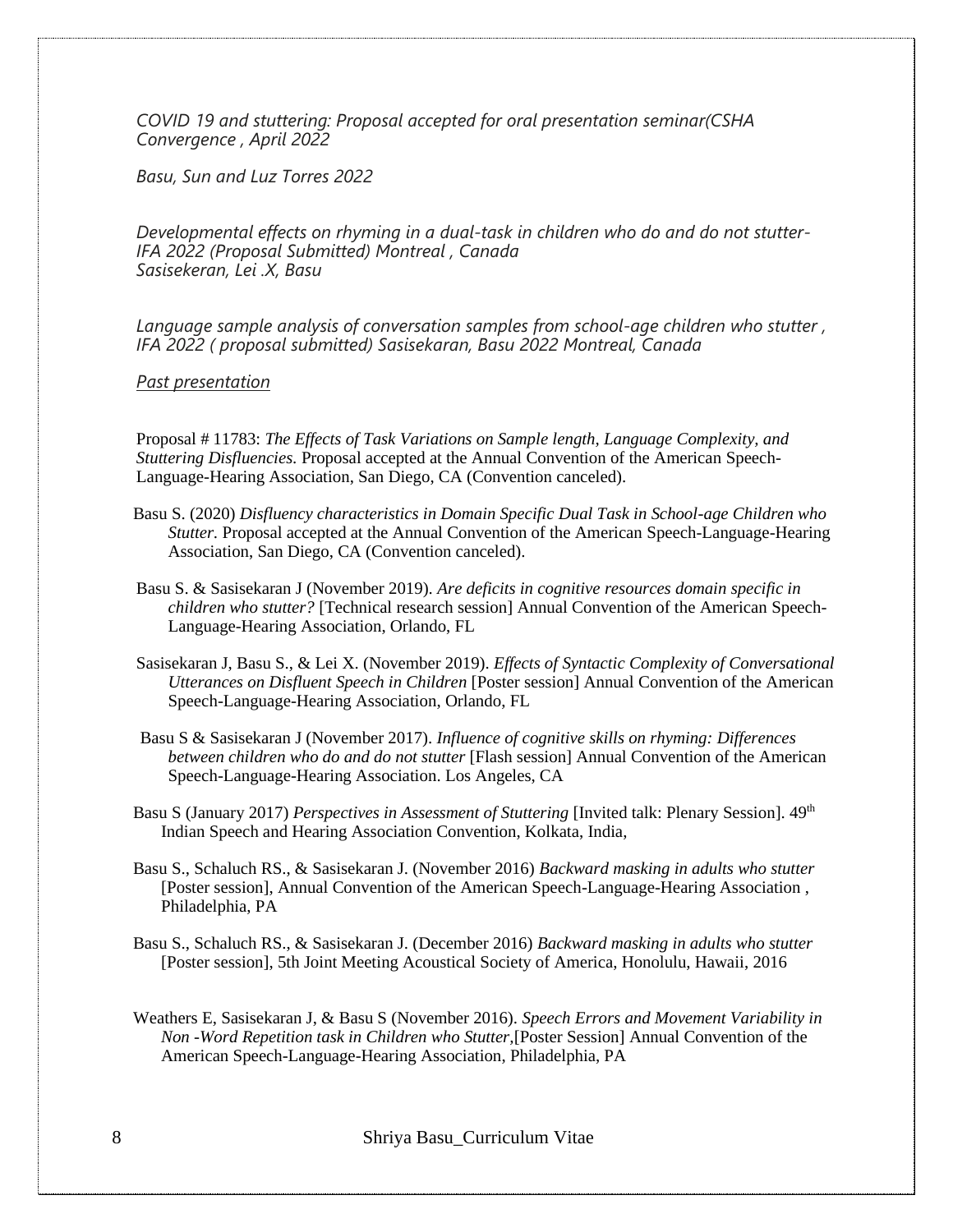*COVID 19 and stuttering: Proposal accepted for oral presentation seminar(CSHA Convergence , April 2022*

*Basu, Sun and Luz Torres 2022*

*Developmental effects on rhyming in a dual-task in children who do and do not stutter-IFA 2022 (Proposal Submitted) Montreal , Canada Sasisekeran, Lei .X, Basu*

*Language sample analysis of conversation samples from school-age children who stutter , IFA 2022 ( proposal submitted) Sasisekaran, Basu 2022 Montreal, Canada*

*Past presentation*

Proposal # 11783: *The Effects of Task Variations on Sample length, Language Complexity, and Stuttering Disfluencies.* Proposal accepted at the Annual Convention of the American Speech-Language-Hearing Association, San Diego, CA (Convention canceled).

- Basu S. (2020) *Disfluency characteristics in Domain Specific Dual Task in School-age Children who Stutter.* Proposal accepted at the Annual Convention of the American Speech-Language-Hearing Association, San Diego, CA (Convention canceled).
- Basu S. & Sasisekaran J (November 2019). *Are deficits in cognitive resources domain specific in children who stutter?* [Technical research session] Annual Convention of the American Speech-Language-Hearing Association, Orlando, FL
- Sasisekaran J, Basu S., & Lei X. (November 2019). *Effects of Syntactic Complexity of Conversational Utterances on Disfluent Speech in Children* [Poster session] Annual Convention of the American Speech-Language-Hearing Association, Orlando, FL
- Basu S & Sasisekaran J (November 2017). *Influence of cognitive skills on rhyming: Differences between children who do and do not stutter* [Flash session] Annual Convention of the American Speech-Language-Hearing Association. Los Angeles, CA
- Basu S (January 2017) *Perspectives in Assessment of Stuttering* [Invited talk: Plenary Session].  $49<sup>th</sup>$ Indian Speech and Hearing Association Convention, Kolkata, India,
- Basu S., Schaluch RS., & Sasisekaran J. (November 2016) *Backward masking in adults who stutter* [Poster session], Annual Convention of the American Speech-Language-Hearing Association , Philadelphia, PA
- Basu S., Schaluch RS., & Sasisekaran J. (December 2016) *Backward masking in adults who stutter* [Poster session], 5th Joint Meeting Acoustical Society of America, Honolulu, Hawaii, 2016
- Weathers E, Sasisekaran J, & Basu S (November 2016). *Speech Errors and Movement Variability in Non -Word Repetition task in Children who Stutter,*[Poster Session] Annual Convention of the American Speech-Language-Hearing Association, Philadelphia, PA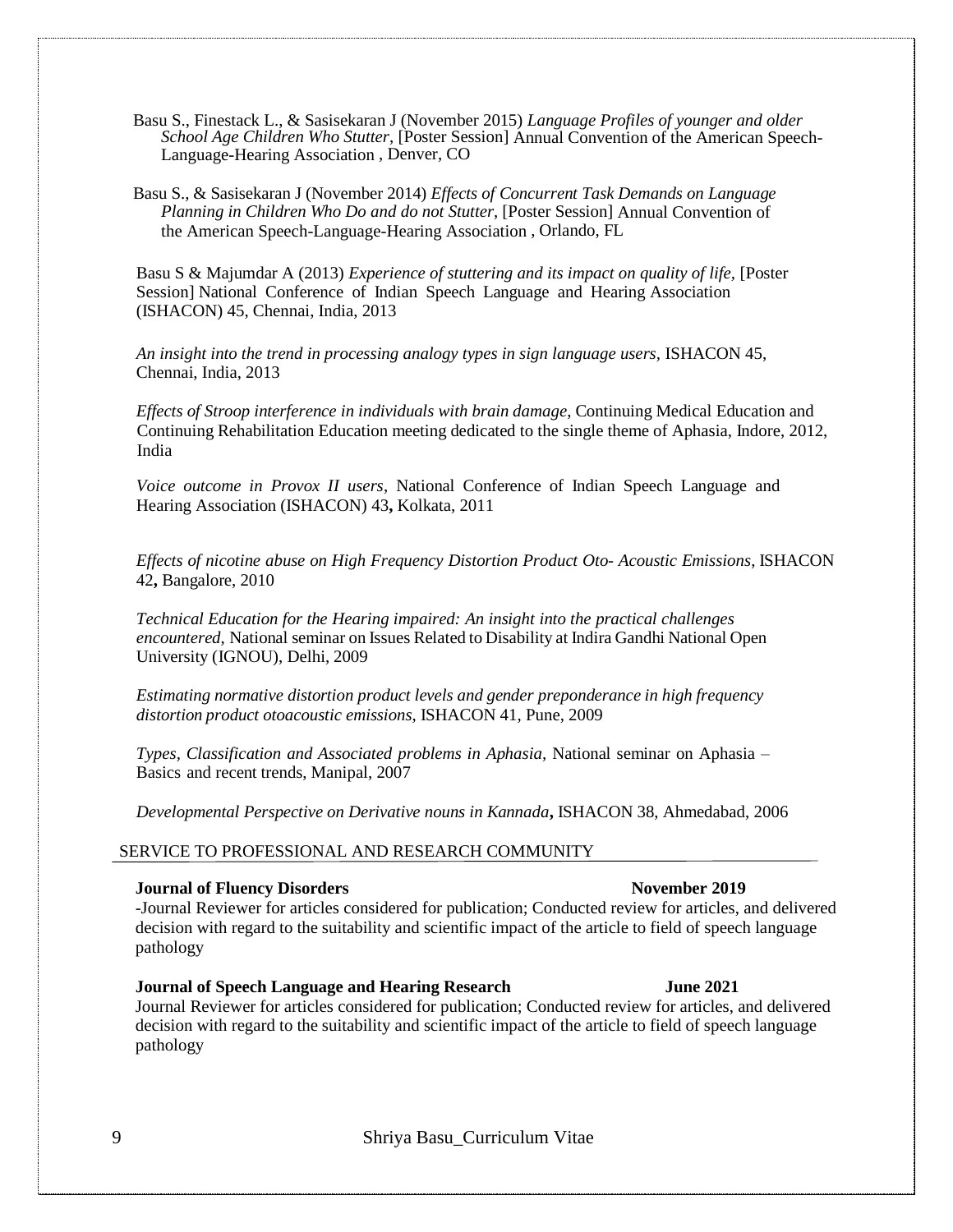Basu S., Finestack L., & Sasisekaran J (November 2015) *Language Profiles of younger and older School Age Children Who Stutter*, [Poster Session] Annual Convention of the American Speech-Language-Hearing Association , Denver, CO

Basu S., & Sasisekaran J (November 2014) *Effects of Concurrent Task Demands on Language Planning in Children Who Do and do not Stutter*, [Poster Session] Annual Convention of the American Speech-Language-Hearing Association , Orlando, FL

Basu S & Majumdar A (2013) *Experience of stuttering and its impact on quality of life*, [Poster Session] National Conference of Indian Speech Language and Hearing Association (ISHACON) 45, Chennai, India, 2013

*An insight into the trend in processing analogy types in sign language users,* ISHACON 45, Chennai, India, 2013

*Effects of Stroop interference in individuals with brain damage*, Continuing Medical Education and Continuing Rehabilitation Education meeting dedicated to the single theme of Aphasia, Indore, 2012, India

*Voice outcome in Provox II users*, National Conference of Indian Speech Language and Hearing Association (ISHACON) 43**,** Kolkata, 2011

*Effects of nicotine abuse on High Frequency Distortion Product Oto- Acoustic Emissions*, ISHACON 42**,** Bangalore, 2010

*Technical Education for the Hearing impaired: An insight into the practical challenges encountered*, National seminar on Issues Related to Disability at Indira Gandhi National Open University (IGNOU), Delhi, 2009

*Estimating normative distortion product levels and gender preponderance in high frequency distortion product otoacoustic emissions*, ISHACON 41, Pune, 2009

*Types, Classification and Associated problems in Aphasia,* National seminar on Aphasia – Basics and recent trends, Manipal, 2007

*Developmental Perspective on Derivative nouns in Kannada***,** ISHACON 38, Ahmedabad, 2006

#### SERVICE TO PROFESSIONAL AND RESEARCH COMMUNITY

#### **Journal of Fluency Disorders November 2019**

-Journal Reviewer for articles considered for publication; Conducted review for articles, and delivered decision with regard to the suitability and scientific impact of the article to field of speech language pathology

**Journal of Speech Language and Hearing Research June 2021** Journal Reviewer for articles considered for publication; Conducted review for articles, and delivered decision with regard to the suitability and scientific impact of the article to field of speech language pathology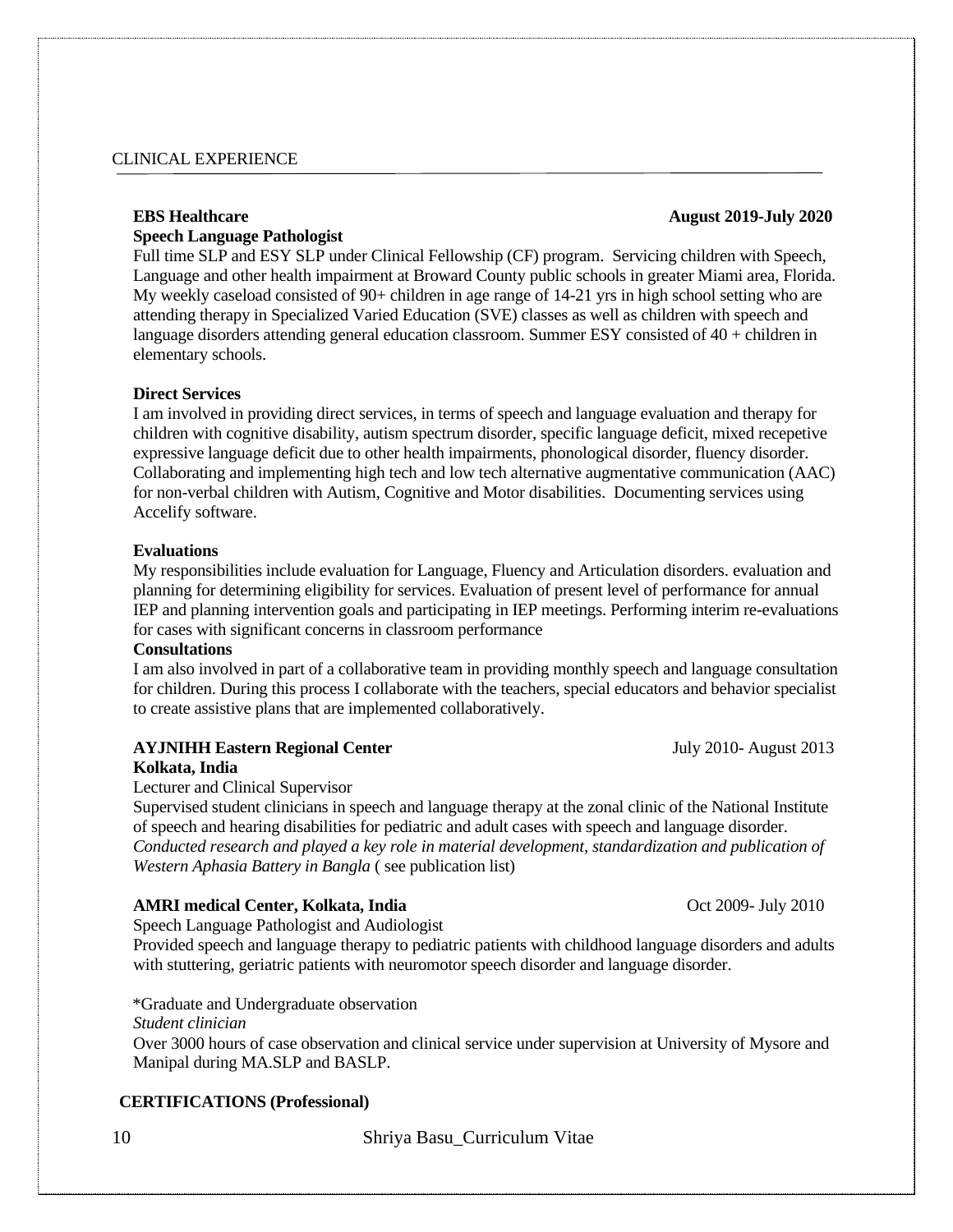# CLINICAL EXPERIENCE

# **EBS Healthcare August 2019-July 2020**

# **Speech Language Pathologist**

Full time SLP and ESY SLP under Clinical Fellowship (CF) program. Servicing children with Speech, Language and other health impairment at Broward County public schools in greater Miami area, Florida. My weekly caseload consisted of 90+ children in age range of 14-21 yrs in high school setting who are attending therapy in Specialized Varied Education (SVE) classes as well as children with speech and language disorders attending general education classroom. Summer ESY consisted of 40 + children in elementary schools.

#### **Direct Services**

I am involved in providing direct services, in terms of speech and language evaluation and therapy for children with cognitive disability, autism spectrum disorder, specific language deficit, mixed recepetive expressive language deficit due to other health impairments, phonological disorder, fluency disorder. Collaborating and implementing high tech and low tech alternative augmentative communication (AAC) for non-verbal children with Autism, Cognitive and Motor disabilities. Documenting services using Accelify software.

#### **Evaluations**

My responsibilities include evaluation for Language, Fluency and Articulation disorders. evaluation and planning for determining eligibility for services. Evaluation of present level of performance for annual IEP and planning intervention goals and participating in IEP meetings. Performing interim re-evaluations for cases with significant concerns in classroom performance

### **Consultations**

I am also involved in part of a collaborative team in providing monthly speech and language consultation for children. During this process I collaborate with the teachers, special educators and behavior specialist to create assistive plans that are implemented collaboratively.

# **AYJNIHH Eastern Regional Center July 2010-** August 2013

**Kolkata, India**

Lecturer and Clinical Supervisor

Supervised student clinicians in speech and language therapy at the zonal clinic of the National Institute of speech and hearing disabilities for pediatric and adult cases with speech and language disorder. *Conducted research and played a key role in material development, standardization and publication of Western Aphasia Battery in Bangla* ( see publication list)

## **AMRI medical Center, Kolkata, India** Oct 2009- July 2010

Speech Language Pathologist and Audiologist

Provided speech and language therapy to pediatric patients with childhood language disorders and adults with stuttering, geriatric patients with neuromotor speech disorder and language disorder.

\*Graduate and Undergraduate observation

# *Student clinician*

Over 3000 hours of case observation and clinical service under supervision at University of Mysore and Manipal during MA.SLP and BASLP.

## **CERTIFICATIONS (Professional)**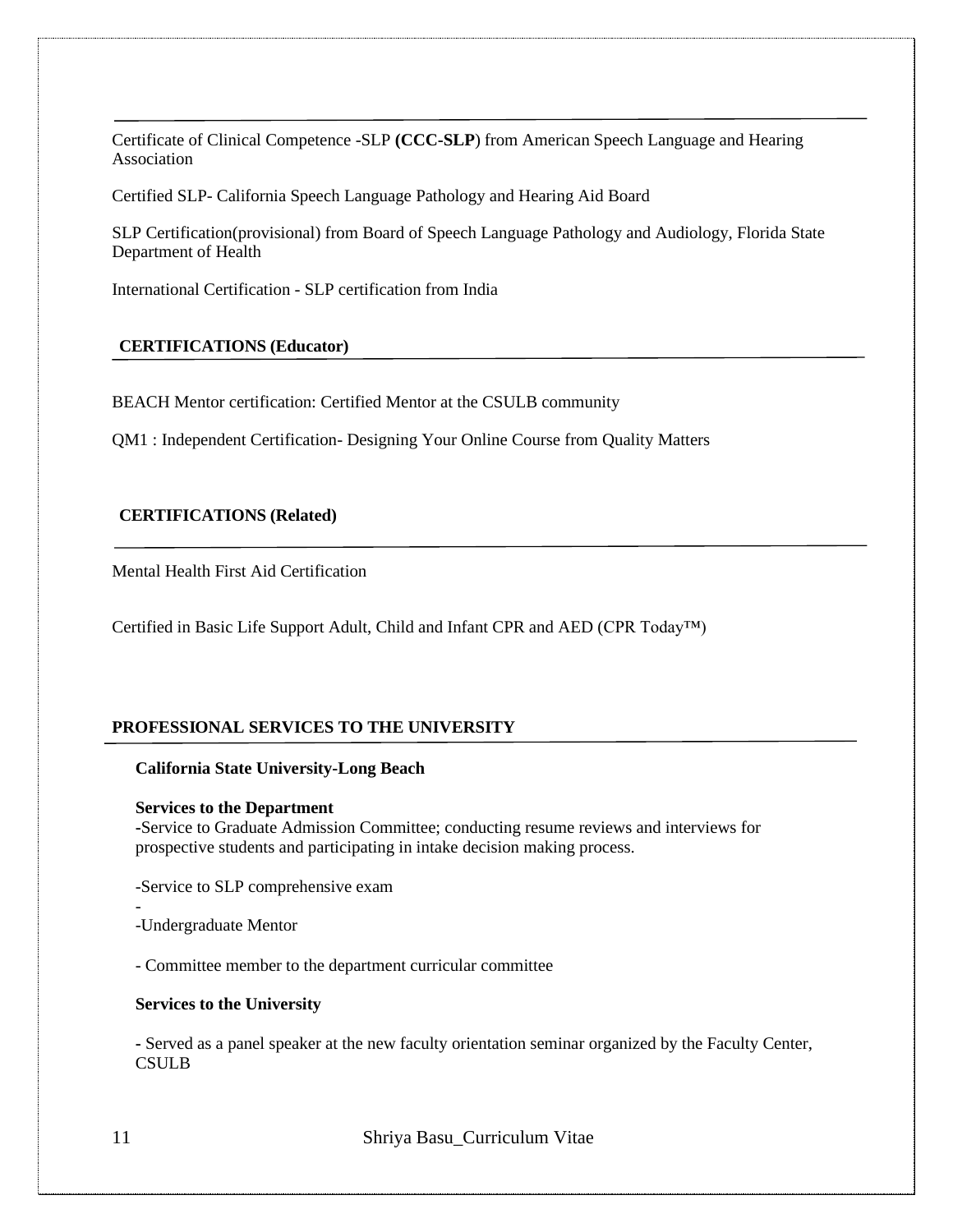Certificate of Clinical Competence -SLP **(CCC-SLP**) from American Speech Language and Hearing Association

Certified SLP- California Speech Language Pathology and Hearing Aid Board

SLP Certification(provisional) from Board of Speech Language Pathology and Audiology, Florida State Department of Health

International Certification - SLP certification from India

## **CERTIFICATIONS (Educator)**

BEACH Mentor certification: Certified Mentor at the CSULB community

QM1 : Independent Certification- Designing Your Online Course from Quality Matters

# **CERTIFICATIONS (Related)**

Mental Health First Aid Certification

Certified in Basic Life Support Adult, Child and Infant CPR and AED (CPR Today™)

# **PROFESSIONAL SERVICES TO THE UNIVERSITY**

#### **California State University-Long Beach**

#### **Services to the Department**

**-**Service to Graduate Admission Committee; conducting resume reviews and interviews for prospective students and participating in intake decision making process.

-Service to SLP comprehensive exam

-Undergraduate Mentor

- Committee member to the department curricular committee

#### **Services to the University**

**-** Served as a panel speaker at the new faculty orientation seminar organized by the Faculty Center, **CSULB** 

11 Shriya Basu\_Curriculum Vitae

-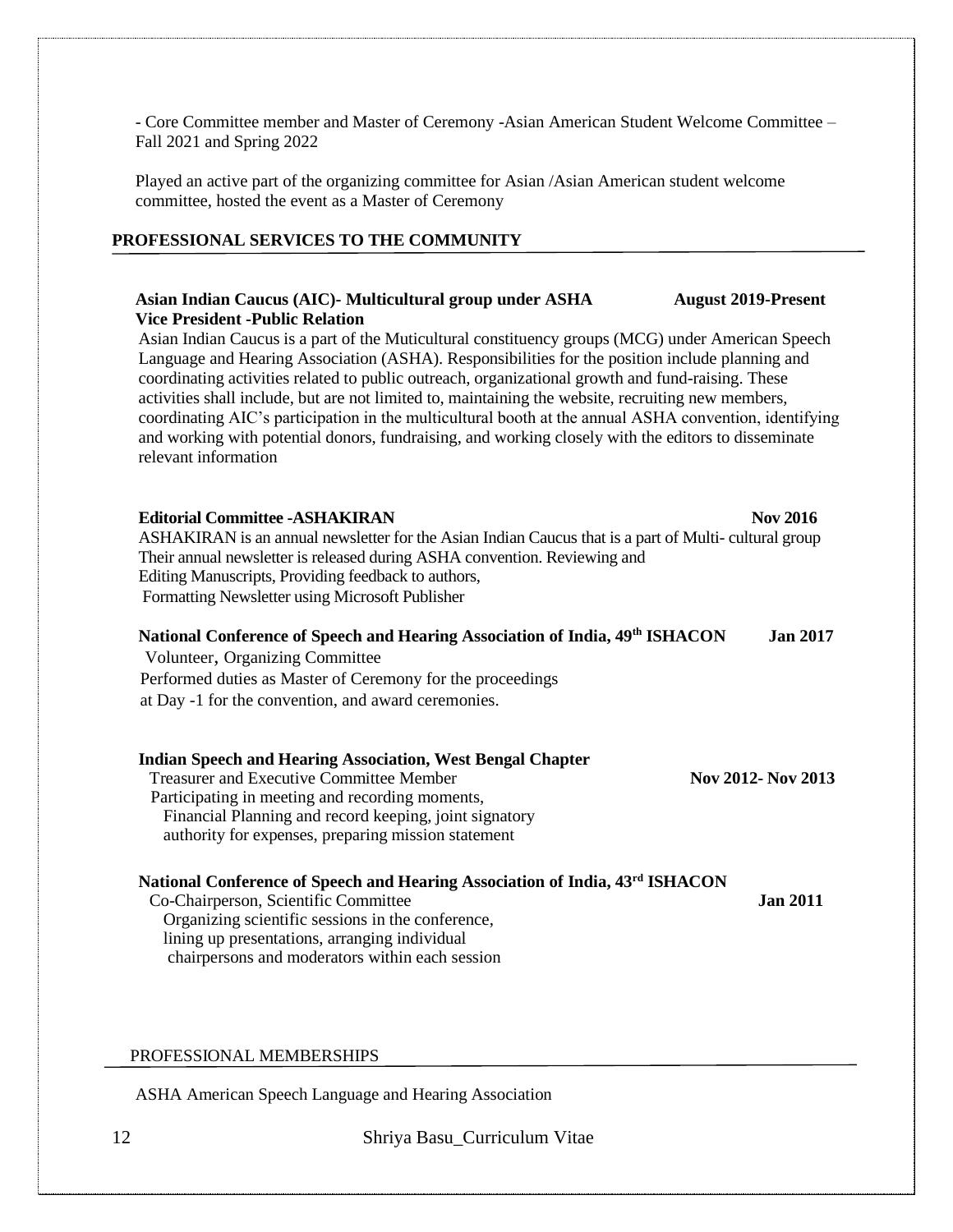- Core Committee member and Master of Ceremony -Asian American Student Welcome Committee – Fall 2021 and Spring 2022

Played an active part of the organizing committee for Asian /Asian American student welcome committee, hosted the event as a Master of Ceremony

# **PROFESSIONAL SERVICES TO THE COMMUNITY**

#### **Asian Indian Caucus (AIC)- Multicultural group under ASHA August 2019-Present Vice President -Public Relation**

Asian Indian Caucus is a part of the Muticultural constituency groups (MCG) under American Speech Language and Hearing Association (ASHA). Responsibilities for the position include planning and coordinating activities related to public outreach, organizational growth and fund-raising. These activities shall include, but are not limited to, maintaining the website, recruiting new members, coordinating AIC's participation in the multicultural booth at the annual ASHA convention, identifying and working with potential donors, fundraising, and working closely with the editors to disseminate relevant information

**Editorial Committee -ASHAKIRAN** Nov 2016 ASHAKIRAN is an annual newsletter for the Asian Indian Caucus that is a part of Multi- cultural group Their annual newsletter is released during ASHA convention. Reviewing and Editing Manuscripts, Providing feedback to authors, Formatting Newsletter using Microsoft Publisher

### **National Conference of Speech and Hearing Association of India, 49 th ISHACON Jan 2017**

Volunteer, Organizing Committee Performed duties as Master of Ceremony for the proceedings at Day -1 for the convention, and award ceremonies.

#### **Indian Speech and Hearing Association, West Bengal Chapter** Treasurer and Executive Committee Member **Nov 2012- Nov 2013** Participating in meeting and recording moments,

Financial Planning and record keeping, joint signatory authority for expenses, preparing mission statement

# **National Conference of Speech and Hearing Association of India, 43 rd ISHACON**

Co-Chairperson, Scientific Committee **Jan 2011** Organizing scientific sessions in the conference, lining up presentations, arranging individual chairpersons and moderators within each session

### PROFESSIONAL MEMBERSHIPS

ASHA American Speech Language and Hearing Association